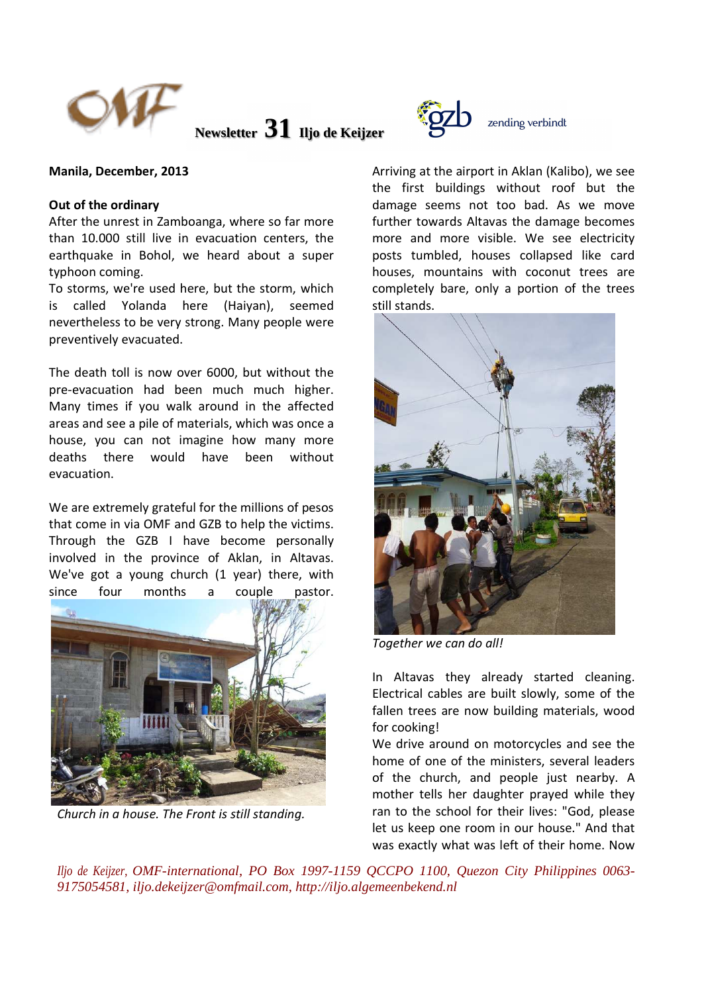

**Newsletter 31 Iljo de Keijzer** 



## **Out of the ordinary**

After the unrest in Zamboanga, where so far more than 10.000 still live in evacuation centers, the earthquake in Bohol, we heard about a super typhoon coming.

To storms, we're used here, but the storm, which is called Yolanda here (Haiyan), seemed nevertheless to be very strong. Many people were preventively evacuated.

The death toll is now over 6000, but without the pre-evacuation had been much much higher. Many times if you walk around in the affected areas and see a pile of materials, which was once a house, you can not imagine how many more deaths there would have been without evacuation.

We are extremely grateful for the millions of pesos that come in via OMF and GZB to help the victims. Through the GZB I have become personally involved in the province of Aklan, in Altavas. We've got a young church (1 year) there, with since four months a couple pastor.



*Church in a house. The Front is still standing.* 



Arriving at the airport in Aklan (Kalibo), we see the first buildings without roof but the damage seems not too bad. As we move further towards Altavas the damage becomes more and more visible. We see electricity posts tumbled, houses collapsed like card houses, mountains with coconut trees are completely bare, only a portion of the trees still stands.



*Together we can do all!* 

In Altavas they already started cleaning. Electrical cables are built slowly, some of the fallen trees are now building materials, wood for cooking!

We drive around on motorcycles and see the home of one of the ministers, several leaders of the church, and people just nearby. A mother tells her daughter prayed while they ran to the school for their lives: "God, please let us keep one room in our house." And that was exactly what was left of their home. Now

*Iljo de Keijzer, OMF-international, PO Box 1997-1159 QCCPO 1100, Quezon City Philippines 0063- 9175054581, iljo.dekeijzer@omfmail.com, http://iljo.algemeenbekend.nl*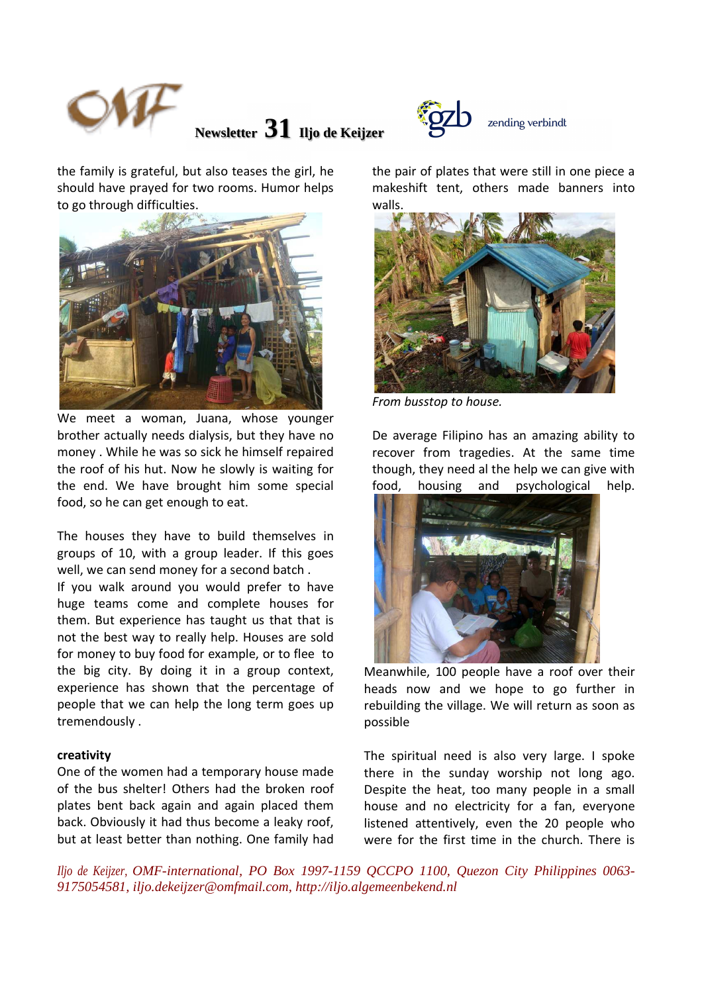

**Newsletter 31 Iljo de Keijzer** 



the family is grateful, but also teases the girl, he should have prayed for two rooms. Humor helps to go through difficulties.



We meet a woman, Juana, whose younger brother actually needs dialysis, but they have no money . While he was so sick he himself repaired the roof of his hut. Now he slowly is waiting for the end. We have brought him some special food, so he can get enough to eat.

The houses they have to build themselves in groups of 10, with a group leader. If this goes well, we can send money for a second batch .

If you walk around you would prefer to have huge teams come and complete houses for them. But experience has taught us that that is not the best way to really help. Houses are sold for money to buy food for example, or to flee to the big city. By doing it in a group context, experience has shown that the percentage of people that we can help the long term goes up tremendously .

## **creativity**

One of the women had a temporary house made of the bus shelter! Others had the broken roof plates bent back again and again placed them back. Obviously it had thus become a leaky roof, but at least better than nothing. One family had

the pair of plates that were still in one piece a makeshift tent, others made banners into walls.



*From busstop to house.* 

De average Filipino has an amazing ability to recover from tragedies. At the same time though, they need al the help we can give with food, housing and psychological help.



Meanwhile, 100 people have a roof over their heads now and we hope to go further in rebuilding the village. We will return as soon as possible

The spiritual need is also very large. I spoke there in the sunday worship not long ago. Despite the heat, too many people in a small house and no electricity for a fan, everyone listened attentively, even the 20 people who were for the first time in the church. There is

*Iljo de Keijzer, OMF-international, PO Box 1997-1159 QCCPO 1100, Quezon City Philippines 0063- 9175054581, iljo.dekeijzer@omfmail.com, http://iljo.algemeenbekend.nl*